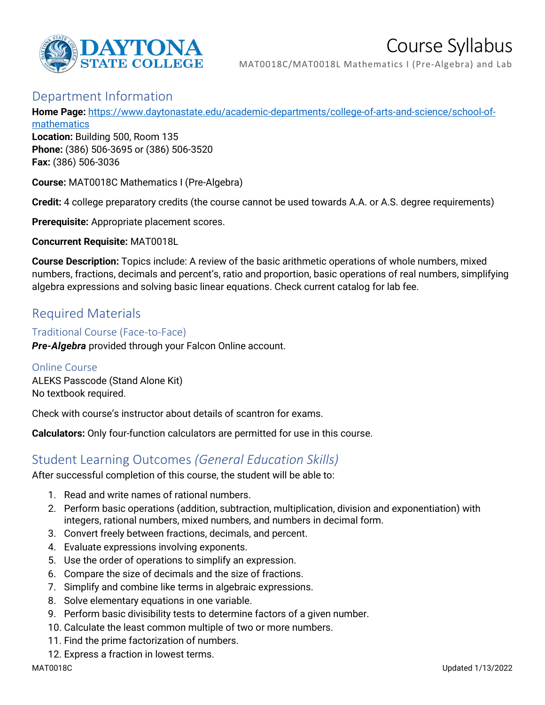

# Course Syllabus

MAT0018C/MAT0018L Mathematics I (Pre-Algebra) and Lab

# Department Information

**Home Page:** [https://www.daytonastate.edu/academic-departments/college-of-arts-and-science/school-of-](https://www.daytonastate.edu/academic-departments/college-of-arts-and-science/school-of-mathematics)

[mathematics](https://www.daytonastate.edu/academic-departments/college-of-arts-and-science/school-of-mathematics)

**Location:** Building 500, Room 135 **Phone:** (386) 506-3695 or (386) 506-3520 **Fax:** (386) 506-3036

**Course:** MAT0018C Mathematics I (Pre-Algebra)

**Credit:** 4 college preparatory credits (the course cannot be used towards A.A. or A.S. degree requirements)

**Prerequisite:** Appropriate placement scores.

**Concurrent Requisite:** MAT0018L

**Course Description:** Topics include: A review of the basic arithmetic operations of whole numbers, mixed numbers, fractions, decimals and percent's, ratio and proportion, basic operations of real numbers, simplifying algebra expressions and solving basic linear equations. Check current catalog for lab fee.

# Required Materials

Traditional Course (Face-to-Face) *Pre-Algebra* provided through your Falcon Online account.

Online Course ALEKS Passcode (Stand Alone Kit)

No textbook required.

Check with course's instructor about details of scantron for exams.

**Calculators:** Only four-function calculators are permitted for use in this course.

# Student Learning Outcomes *(General Education Skills)*

After successful completion of this course, the student will be able to:

- 1. Read and write names of rational numbers.
- 2. Perform basic operations (addition, subtraction, multiplication, division and exponentiation) with integers, rational numbers, mixed numbers, and numbers in decimal form.
- 3. Convert freely between fractions, decimals, and percent.
- 4. Evaluate expressions involving exponents.
- 5. Use the order of operations to simplify an expression.
- 6. Compare the size of decimals and the size of fractions.
- 7. Simplify and combine like terms in algebraic expressions.
- 8. Solve elementary equations in one variable.
- 9. Perform basic divisibility tests to determine factors of a given number.
- 10. Calculate the least common multiple of two or more numbers.
- 11. Find the prime factorization of numbers.
- 12. Express a fraction in lowest terms.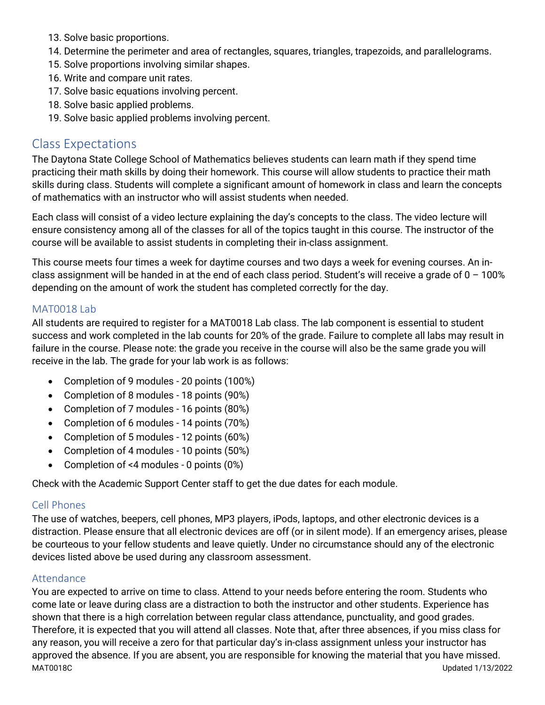- 13. Solve basic proportions.
- 14. Determine the perimeter and area of rectangles, squares, triangles, trapezoids, and parallelograms.
- 15. Solve proportions involving similar shapes.
- 16. Write and compare unit rates.
- 17. Solve basic equations involving percent.
- 18. Solve basic applied problems.
- 19. Solve basic applied problems involving percent.

### Class Expectations

The Daytona State College School of Mathematics believes students can learn math if they spend time practicing their math skills by doing their homework. This course will allow students to practice their math skills during class. Students will complete a significant amount of homework in class and learn the concepts of mathematics with an instructor who will assist students when needed.

Each class will consist of a video lecture explaining the day's concepts to the class. The video lecture will ensure consistency among all of the classes for all of the topics taught in this course. The instructor of the course will be available to assist students in completing their in-class assignment.

This course meets four times a week for daytime courses and two days a week for evening courses. An inclass assignment will be handed in at the end of each class period. Student's will receive a grade of  $0 - 100\%$ depending on the amount of work the student has completed correctly for the day.

#### MAT0018 Lab

All students are required to register for a MAT0018 Lab class. The lab component is essential to student success and work completed in the lab counts for 20% of the grade. Failure to complete all labs may result in failure in the course. Please note: the grade you receive in the course will also be the same grade you will receive in the lab. The grade for your lab work is as follows:

- Completion of 9 modules 20 points (100%)
- Completion of 8 modules 18 points (90%)
- Completion of 7 modules 16 points (80%)
- Completion of 6 modules 14 points (70%)
- Completion of 5 modules 12 points (60%)
- Completion of 4 modules 10 points (50%)
- Completion of <4 modules 0 points (0%)

Check with the Academic Support Center staff to get the due dates for each module.

#### Cell Phones

The use of watches, beepers, cell phones, MP3 players, iPods, laptops, and other electronic devices is a distraction. Please ensure that all electronic devices are off (or in silent mode). If an emergency arises, please be courteous to your fellow students and leave quietly. Under no circumstance should any of the electronic devices listed above be used during any classroom assessment.

#### Attendance

MAT0018C Updated 1/13/2022 You are expected to arrive on time to class. Attend to your needs before entering the room. Students who come late or leave during class are a distraction to both the instructor and other students. Experience has shown that there is a high correlation between regular class attendance, punctuality, and good grades. Therefore, it is expected that you will attend all classes. Note that, after three absences, if you miss class for any reason, you will receive a zero for that particular day's in-class assignment unless your instructor has approved the absence. If you are absent, you are responsible for knowing the material that you have missed.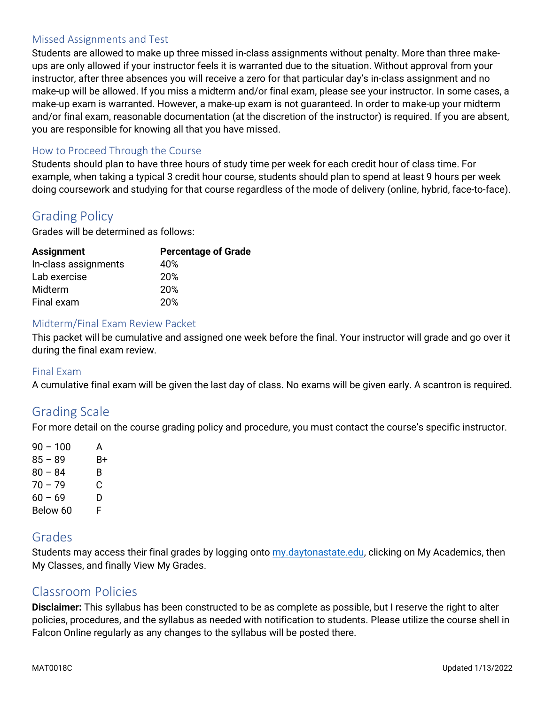### Missed Assignments and Test

Students are allowed to make up three missed in-class assignments without penalty. More than three makeups are only allowed if your instructor feels it is warranted due to the situation. Without approval from your instructor, after three absences you will receive a zero for that particular day's in-class assignment and no make-up will be allowed. If you miss a midterm and/or final exam, please see your instructor. In some cases, a make-up exam is warranted. However, a make-up exam is not guaranteed. In order to make-up your midterm and/or final exam, reasonable documentation (at the discretion of the instructor) is required. If you are absent, you are responsible for knowing all that you have missed.

### How to Proceed Through the Course

Students should plan to have three hours of study time per week for each credit hour of class time. For example, when taking a typical 3 credit hour course, students should plan to spend at least 9 hours per week doing coursework and studying for that course regardless of the mode of delivery (online, hybrid, face-to-face).

# Grading Policy

Grades will be determined as follows:

| <b>Assignment</b>    | <b>Percentage of Grade</b> |
|----------------------|----------------------------|
| In-class assignments | 40%                        |
| Lab exercise         | 20%                        |
| Midterm              | 20%                        |
| Final exam           | 20%                        |
|                      |                            |

### Midterm/Final Exam Review Packet

This packet will be cumulative and assigned one week before the final. Your instructor will grade and go over it during the final exam review.

### Final Exam

A cumulative final exam will be given the last day of class. No exams will be given early. A scantron is required.

### Grading Scale

For more detail on the course grading policy and procedure, you must contact the course's specific instructor.

 $90 - 100$  A  $85 - 89$  B+  $80 - 84$  B  $70 - 79$  C  $60 - 69$  D Below 60 F

### Grades

Students may access their final grades by logging onto [my.daytonastate.edu,](https://my.daytonastate.edu/) clicking on My Academics, then My Classes, and finally View My Grades.

### Classroom Policies

**Disclaimer:** This syllabus has been constructed to be as complete as possible, but I reserve the right to alter policies, procedures, and the syllabus as needed with notification to students. Please utilize the course shell in Falcon Online regularly as any changes to the syllabus will be posted there.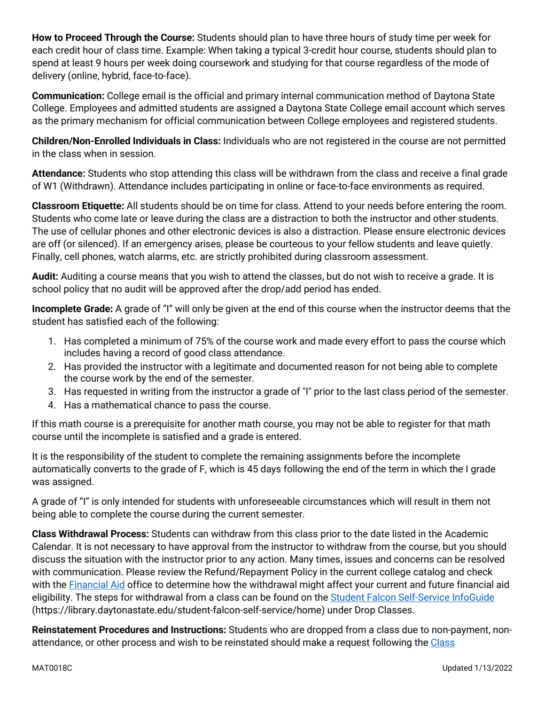**How to Proceed Through the Course:** Students should plan to have three hours of study time per week for each credit hour of class time. Example: When taking a typical 3-credit hour course, students should plan to spend at least 9 hours per week doing coursework and studying for that course regardless of the mode of delivery (online, hybrid, face-to-face).

**Communication:** College email is the official and primary internal communication method of Daytona State College. Employees and admitted students are assigned a Daytona State College email account which serves as the primary mechanism for official communication between College employees and registered students.

**Children/Non-Enrolled Individuals in Class:** Individuals who are not registered in the course are not permitted in the class when in session.

**Attendance:** Students who stop attending this class will be withdrawn from the class and receive a final grade of W1 (Withdrawn). Attendance includes participating in online or face-to-face environments as required.

**Classroom Etiquette:** All students should be on time for class. Attend to your needs before entering the room. Students who come late or leave during the class are a distraction to both the instructor and other students. The use of cellular phones and other electronic devices is also a distraction. Please ensure electronic devices are off (or silenced). If an emergency arises, please be courteous to your fellow students and leave quietly. Finally, cell phones, watch alarms, etc. are strictly prohibited during classroom assessment.

**Audit:** Auditing a course means that you wish to attend the classes, but do not wish to receive a grade. It is school policy that no audit will be approved after the drop/add period has ended.

**Incomplete Grade:** A grade of "I" will only be given at the end of this course when the instructor deems that the student has satisfied each of the following:

- 1. Has completed a minimum of 75% of the course work and made every effort to pass the course which includes having a record of good class attendance.
- 2. Has provided the instructor with a legitimate and documented reason for not being able to complete the course work by the end of the semester.
- 3. Has requested in writing from the instructor a grade of "I" prior to the last class period of the semester.
- 4. Has a mathematical chance to pass the course.

If this math course is a prerequisite for another math course, you may not be able to register for that math course until the incomplete is satisfied and a grade is entered.

It is the responsibility of the student to complete the remaining assignments before the incomplete automatically converts to the grade of F, which is 45 days following the end of the term in which the I grade was assigned.

A grade of "I" is only intended for students with unforeseeable circumstances which will result in them not being able to complete the course during the current semester.

**Class Withdrawal Process:** Students can withdraw from this class prior to the date listed in the Academic Calendar. It is not necessary to have approval from the instructor to withdraw from the course, but you should discuss the situation with the instructor prior to any action. Many times, issues and concerns can be resolved with communication. Please review the Refund/Repayment Policy in the current college catalog and check with the [Financial Aid](https://www.daytonastate.edu/financial-aid) office to determine how the withdrawal might affect your current and future financial aid eligibility. The steps for withdrawal from a class can be found on the [Student Falcon Self-Service InfoGuide](https://library.daytonastate.edu/student-falcon-self-service/home) (https://library.daytonastate.edu/student-falcon-self-service/home) under Drop Classes.

**Reinstatement Procedures and Instructions:** Students who are dropped from a class due to non-payment, nonattendance, or other process and wish to be reinstated should make a request following the [Class](https://www.daytonastate.edu/enrollment-information/index.html)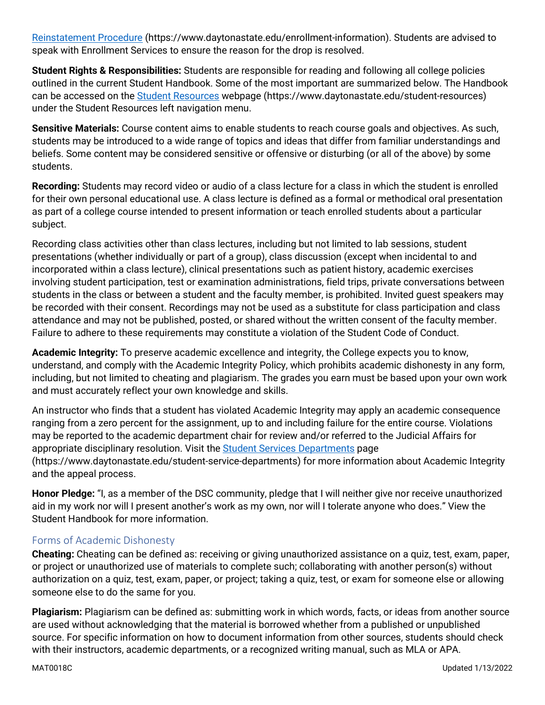[Reinstatement Procedure](https://www.daytonastate.edu/enrollment-information/index.html) (https://www.daytonastate.edu/enrollment-information). Students are advised to speak with Enrollment Services to ensure the reason for the drop is resolved.

**Student Rights & Responsibilities:** Students are responsible for reading and following all college policies outlined in the current Student Handbook. Some of the most important are summarized below. The Handbook can be accessed on the [Student Resources](https://www.daytonastate.edu/student-resources) webpage (https://www.daytonastate.edu/student-resources) under the Student Resources left navigation menu.

**Sensitive Materials:** Course content aims to enable students to reach course goals and objectives. As such, students may be introduced to a wide range of topics and ideas that differ from familiar understandings and beliefs. Some content may be considered sensitive or offensive or disturbing (or all of the above) by some students.

**Recording:** Students may record video or audio of a class lecture for a class in which the student is enrolled for their own personal educational use. A class lecture is defined as a formal or methodical oral presentation as part of a college course intended to present information or teach enrolled students about a particular subject.

Recording class activities other than class lectures, including but not limited to lab sessions, student presentations (whether individually or part of a group), class discussion (except when incidental to and incorporated within a class lecture), clinical presentations such as patient history, academic exercises involving student participation, test or examination administrations, field trips, private conversations between students in the class or between a student and the faculty member, is prohibited. Invited guest speakers may be recorded with their consent. Recordings may not be used as a substitute for class participation and class attendance and may not be published, posted, or shared without the written consent of the faculty member. Failure to adhere to these requirements may constitute a violation of the Student Code of Conduct.

**Academic Integrity:** To preserve academic excellence and integrity, the College expects you to know, understand, and comply with the Academic Integrity Policy, which prohibits academic dishonesty in any form, including, but not limited to cheating and plagiarism. The grades you earn must be based upon your own work and must accurately reflect your own knowledge and skills.

An instructor who finds that a student has violated Academic Integrity may apply an academic consequence ranging from a zero percent for the assignment, up to and including failure for the entire course. Violations may be reported to the academic department chair for review and/or referred to the Judicial Affairs for appropriate disciplinary resolution. Visit the **Student Services Departments** page (https://www.daytonastate.edu/student-service-departments) for more information about Academic Integrity and the appeal process.

**Honor Pledge:** "I, as a member of the DSC community, pledge that I will neither give nor receive unauthorized aid in my work nor will I present another's work as my own, nor will I tolerate anyone who does." View the Student Handbook for more information.

### Forms of Academic Dishonesty

**Cheating:** Cheating can be defined as: receiving or giving unauthorized assistance on a quiz, test, exam, paper, or project or unauthorized use of materials to complete such; collaborating with another person(s) without authorization on a quiz, test, exam, paper, or project; taking a quiz, test, or exam for someone else or allowing someone else to do the same for you.

**Plagiarism:** Plagiarism can be defined as: submitting work in which words, facts, or ideas from another source are used without acknowledging that the material is borrowed whether from a published or unpublished source. For specific information on how to document information from other sources, students should check with their instructors, academic departments, or a recognized writing manual, such as MLA or APA.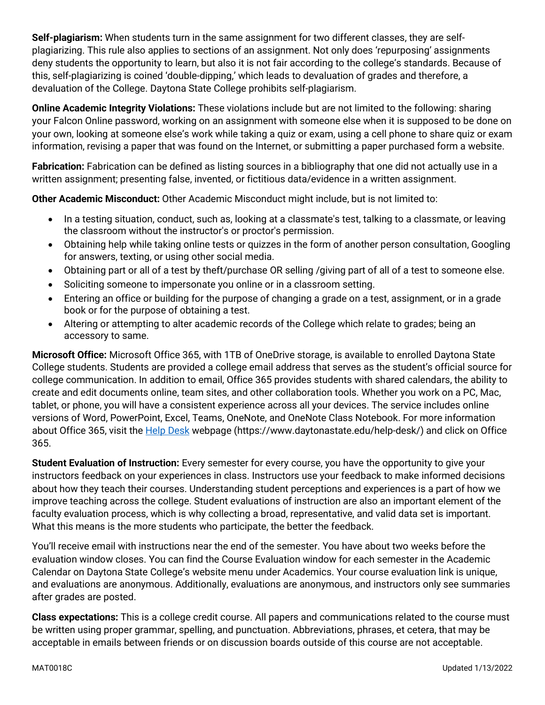**Self-plagiarism:** When students turn in the same assignment for two different classes, they are selfplagiarizing. This rule also applies to sections of an assignment. Not only does 'repurposing' assignments deny students the opportunity to learn, but also it is not fair according to the college's standards. Because of this, self-plagiarizing is coined 'double-dipping,' which leads to devaluation of grades and therefore, a devaluation of the College. Daytona State College prohibits self-plagiarism.

**Online Academic Integrity Violations:** These violations include but are not limited to the following: sharing your Falcon Online password, working on an assignment with someone else when it is supposed to be done on your own, looking at someone else's work while taking a quiz or exam, using a cell phone to share quiz or exam information, revising a paper that was found on the Internet, or submitting a paper purchased form a website.

**Fabrication:** Fabrication can be defined as listing sources in a bibliography that one did not actually use in a written assignment; presenting false, invented, or fictitious data/evidence in a written assignment.

**Other Academic Misconduct:** Other Academic Misconduct might include, but is not limited to:

- In a testing situation, conduct, such as, looking at a classmate's test, talking to a classmate, or leaving the classroom without the instructor's or proctor's permission.
- Obtaining help while taking online tests or quizzes in the form of another person consultation, Googling for answers, texting, or using other social media.
- Obtaining part or all of a test by theft/purchase OR selling /giving part of all of a test to someone else.
- Soliciting someone to impersonate you online or in a classroom setting.
- Entering an office or building for the purpose of changing a grade on a test, assignment, or in a grade book or for the purpose of obtaining a test.
- Altering or attempting to alter academic records of the College which relate to grades; being an accessory to same.

**Microsoft Office:** Microsoft Office 365, with 1TB of OneDrive storage, is available to enrolled Daytona State College students. Students are provided a college email address that serves as the student's official source for college communication. In addition to email, Office 365 provides students with shared calendars, the ability to create and edit documents online, team sites, and other collaboration tools. Whether you work on a PC, Mac, tablet, or phone, you will have a consistent experience across all your devices. The service includes online versions of Word, PowerPoint, Excel, Teams, OneNote, and OneNote Class Notebook. For more information about Office 365, visit the **Help Desk** webpage (https://www.daytonastate.edu/help-desk/) and click on Office 365.

**Student Evaluation of Instruction:** Every semester for every course, you have the opportunity to give your instructors feedback on your experiences in class. Instructors use your feedback to make informed decisions about how they teach their courses. Understanding student perceptions and experiences is a part of how we improve teaching across the college. Student evaluations of instruction are also an important element of the faculty evaluation process, which is why collecting a broad, representative, and valid data set is important. What this means is the more students who participate, the better the feedback.

You'll receive email with instructions near the end of the semester. You have about two weeks before the evaluation window closes. You can find the Course Evaluation window for each semester in the Academic Calendar on Daytona State College's website menu under Academics. Your course evaluation link is unique, and evaluations are anonymous. Additionally, evaluations are anonymous, and instructors only see summaries after grades are posted.

**Class expectations:** This is a college credit course. All papers and communications related to the course must be written using proper grammar, spelling, and punctuation. Abbreviations, phrases, et cetera, that may be acceptable in emails between friends or on discussion boards outside of this course are not acceptable.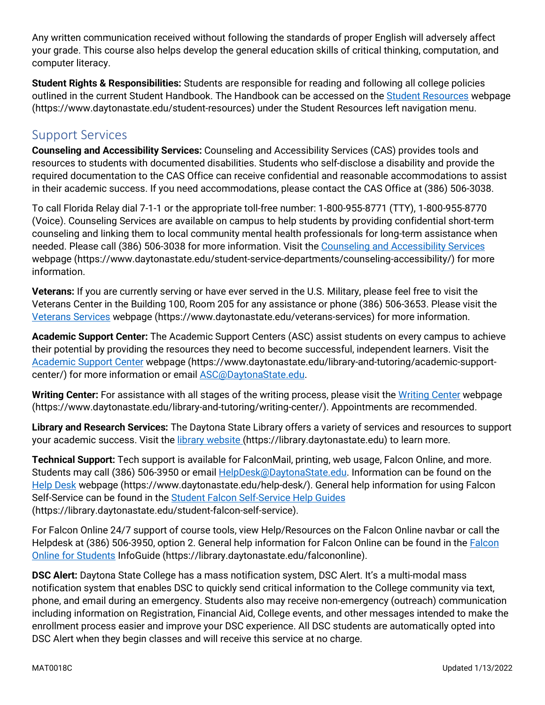Any written communication received without following the standards of proper English will adversely affect your grade. This course also helps develop the general education skills of critical thinking, computation, and computer literacy.

**Student Rights & Responsibilities:** Students are responsible for reading and following all college policies outlined in the current Student Handbook. The Handbook can be accessed on the [Student Resources](https://www.daytonastate.edu/student-resources) webpage (https://www.daytonastate.edu/student-resources) under the Student Resources left navigation menu.

## Support Services

**Counseling and Accessibility Services:** Counseling and Accessibility Services (CAS) provides tools and resources to students with documented disabilities. Students who self-disclose a disability and provide the required documentation to the CAS Office can receive confidential and reasonable accommodations to assist in their academic success. If you need accommodations, please contact the CAS Office at (386) 506-3038.

To call Florida Relay dial 7-1-1 or the appropriate toll-free number: 1-800-955-8771 (TTY), 1-800-955-8770 (Voice). Counseling Services are available on campus to help students by providing confidential short-term counseling and linking them to local community mental health professionals for long-term assistance when needed. Please call (386) 506-3038 for more information. Visit the [Counseling and Accessibility Services](https://www.daytonastate.edu/student-service-departments/counseling-accessibility/) webpage (https://www.daytonastate.edu/student-service-departments/counseling-accessibility/) for more information.

**Veterans:** If you are currently serving or have ever served in the U.S. Military, please feel free to visit the Veterans Center in the Building 100, Room 205 for any assistance or phone (386) 506-3653. Please visit the [Veterans Services](https://www.daytonastate.edu/veterans-services) webpage (https://www.daytonastate.edu/veterans-services) for more information.

**Academic Support Center:** The Academic Support Centers (ASC) assist students on every campus to achieve their potential by providing the resources they need to become successful, independent learners. Visit the [Academic Support Center](https://www.daytonastate.edu/library-and-tutoring/academic-support-center/index.html) webpage (https://www.daytonastate.edu/library-and-tutoring/academic-supportcenter/) for more information or email [ASC@DaytonaState.edu.](mailto:ASC@DaytonaState.edu)

**Writing Center:** For assistance with all stages of the writing process, please visit the [Writing Center](https://www.daytonastate.edu/library-and-tutoring/writing-center/) webpage (https://www.daytonastate.edu/library-and-tutoring/writing-center/). Appointments are recommended.

**Library and Research Services:** The Daytona State Library offers a variety of services and resources to support your academic success. Visit the *library website* (https://library.daytonastate.edu) to learn more.

**Technical Support:** Tech support is available for FalconMail, printing, web usage, Falcon Online, and more. Students may call (386) 506-3950 or email [HelpDesk@DaytonaState.edu.](mailto:HelpDesk@DaytonaState.edu) Information can be found on the [Help Desk](https://www.daytonastate.edu/help-desk/) webpage (https://www.daytonastate.edu/help-desk/). General help information for using Falcon Self-Service can be found in the [Student Falcon Self-Service Help Guides](https://library.daytonastate.edu/student-falcon-self-service) (https://library.daytonastate.edu/student-falcon-self-service).

For Falcon Online 24/7 support of course tools, view Help/Resources on the Falcon Online navbar or call the Helpdesk at (386) 506-3950, option 2. General help information for Falcon Online can be found in the [Falcon](https://library.daytonastate.edu/falcononline)  [Online for Students](https://library.daytonastate.edu/falcononline) InfoGuide (https://library.daytonastate.edu/falcononline).

**DSC Alert:** Daytona State College has a mass notification system, DSC Alert. It's a multi-modal mass notification system that enables DSC to quickly send critical information to the College community via text, phone, and email during an emergency. Students also may receive non-emergency (outreach) communication including information on Registration, Financial Aid, College events, and other messages intended to make the enrollment process easier and improve your DSC experience. All DSC students are automatically opted into DSC Alert when they begin classes and will receive this service at no charge.